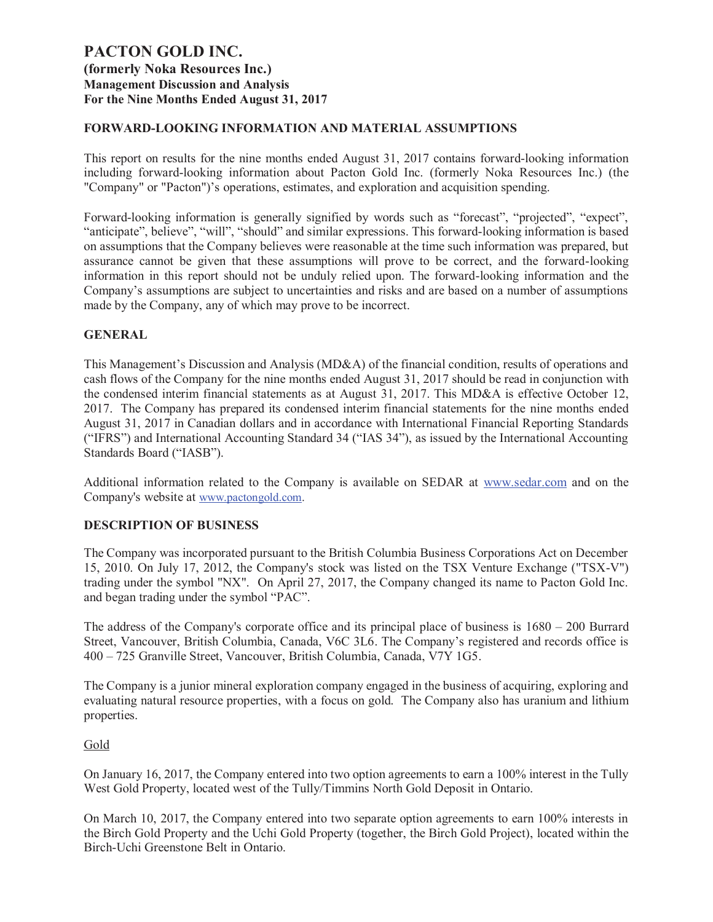### **FORWARD-LOOKING INFORMATION AND MATERIAL ASSUMPTIONS**

This report on results for the nine months ended August 31, 2017 contains forward-looking information including forward-looking information about Pacton Gold Inc. (formerly Noka Resources Inc.) (the "Company" or "Pacton")'s operations, estimates, and exploration and acquisition spending.

Forward-looking information is generally signified by words such as "forecast", "projected", "expect", "anticipate", believe", "will", "should" and similar expressions. This forward-looking information is based on assumptions that the Company believes were reasonable at the time such information was prepared, but assurance cannot be given that these assumptions will prove to be correct, and the forward-looking information in this report should not be unduly relied upon. The forward-looking information and the Company's assumptions are subject to uncertainties and risks and are based on a number of assumptions made by the Company, any of which may prove to be incorrect.

### **GENERAL**

This Management's Discussion and Analysis (MD&A) of the financial condition, results of operations and cash flows of the Company for the nine months ended August 31, 2017 should be read in conjunction with the condensed interim financial statements as at August 31, 2017. This MD&A is effective October 12, 2017. The Company has prepared its condensed interim financial statements for the nine months ended August 31, 2017 in Canadian dollars and in accordance with International Financial Reporting Standards ("IFRS") and International Accounting Standard 34 ("IAS 34"), as issued by the International Accounting Standards Board ("IASB").

Additional information related to the Company is available on SEDAR at www.sedar.com and on the Company's website at www.pactongold.com.

### **DESCRIPTION OF BUSINESS**

The Company was incorporated pursuant to the British Columbia Business Corporations Act on December 15, 2010. On July 17, 2012, the Company's stock was listed on the TSX Venture Exchange ("TSX-V") trading under the symbol "NX". On April 27, 2017, the Company changed its name to Pacton Gold Inc. and began trading under the symbol "PAC".

The address of the Company's corporate office and its principal place of business is 1680 – 200 Burrard Street, Vancouver, British Columbia, Canada, V6C 3L6. The Company's registered and records office is 400 – 725 Granville Street, Vancouver, British Columbia, Canada, V7Y 1G5.

The Company is a junior mineral exploration company engaged in the business of acquiring, exploring and evaluating natural resource properties, with a focus on gold. The Company also has uranium and lithium properties.

#### Gold

On January 16, 2017, the Company entered into two option agreements to earn a 100% interest in the Tully West Gold Property, located west of the Tully/Timmins North Gold Deposit in Ontario.

On March 10, 2017, the Company entered into two separate option agreements to earn 100% interests in the Birch Gold Property and the Uchi Gold Property (together, the Birch Gold Project), located within the Birch-Uchi Greenstone Belt in Ontario.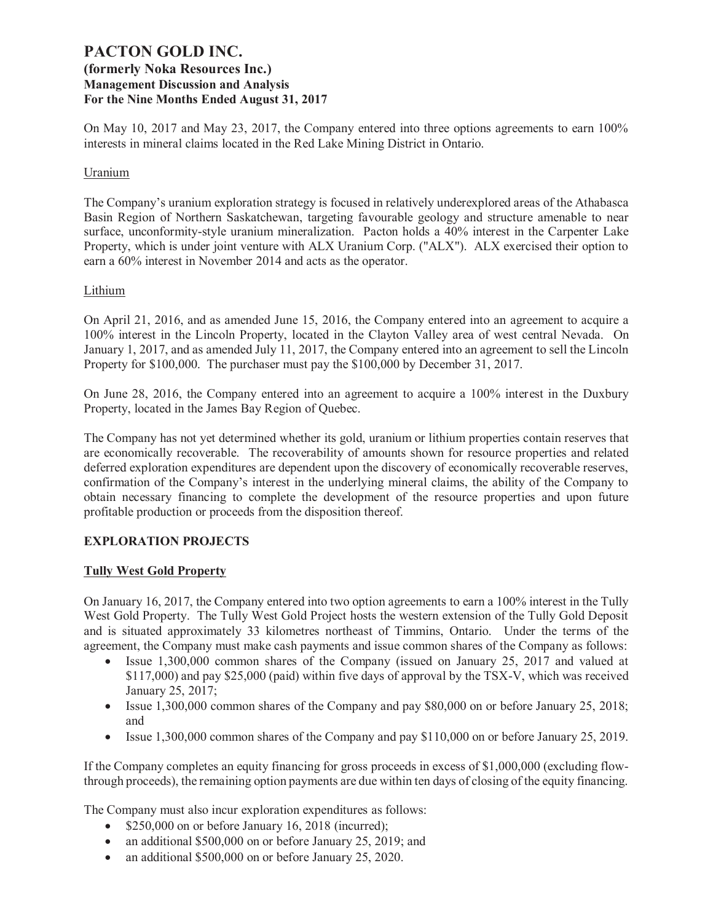On May 10, 2017 and May 23, 2017, the Company entered into three options agreements to earn 100% interests in mineral claims located in the Red Lake Mining District in Ontario.

### Uranium

The Company's uranium exploration strategy is focused in relatively underexplored areas of the Athabasca Basin Region of Northern Saskatchewan, targeting favourable geology and structure amenable to near surface, unconformity-style uranium mineralization. Pacton holds a 40% interest in the Carpenter Lake Property, which is under joint venture with ALX Uranium Corp. ("ALX"). ALX exercised their option to earn a 60% interest in November 2014 and acts as the operator.

### Lithium

On April 21, 2016, and as amended June 15, 2016, the Company entered into an agreement to acquire a 100% interest in the Lincoln Property, located in the Clayton Valley area of west central Nevada. On January 1, 2017, and as amended July 11, 2017, the Company entered into an agreement to sell the Lincoln Property for \$100,000. The purchaser must pay the \$100,000 by December 31, 2017.

On June 28, 2016, the Company entered into an agreement to acquire a 100% interest in the Duxbury Property, located in the James Bay Region of Quebec.

The Company has not yet determined whether its gold, uranium or lithium properties contain reserves that are economically recoverable. The recoverability of amounts shown for resource properties and related deferred exploration expenditures are dependent upon the discovery of economically recoverable reserves, confirmation of the Company's interest in the underlying mineral claims, the ability of the Company to obtain necessary financing to complete the development of the resource properties and upon future profitable production or proceeds from the disposition thereof.

### **EXPLORATION PROJECTS**

### **Tully West Gold Property**

On January 16, 2017, the Company entered into two option agreements to earn a 100% interest in the Tully West Gold Property. The Tully West Gold Project hosts the western extension of the Tully Gold Deposit and is situated approximately 33 kilometres northeast of Timmins, Ontario. Under the terms of the agreement, the Company must make cash payments and issue common shares of the Company as follows:

- Issue 1,300,000 common shares of the Company (issued on January 25, 2017 and valued at \$117,000) and pay \$25,000 (paid) within five days of approval by the TSX-V, which was received January 25, 2017;
- Issue 1,300,000 common shares of the Company and pay \$80,000 on or before January 25, 2018; and
- Issue 1,300,000 common shares of the Company and pay \$110,000 on or before January 25, 2019.

If the Company completes an equity financing for gross proceeds in excess of \$1,000,000 (excluding flowthrough proceeds), the remaining option payments are due within ten days of closing of the equity financing.

The Company must also incur exploration expenditures as follows:

- \$250,000 on or before January 16, 2018 (incurred);
- an additional \$500,000 on or before January 25, 2019; and
- an additional \$500,000 on or before January 25, 2020.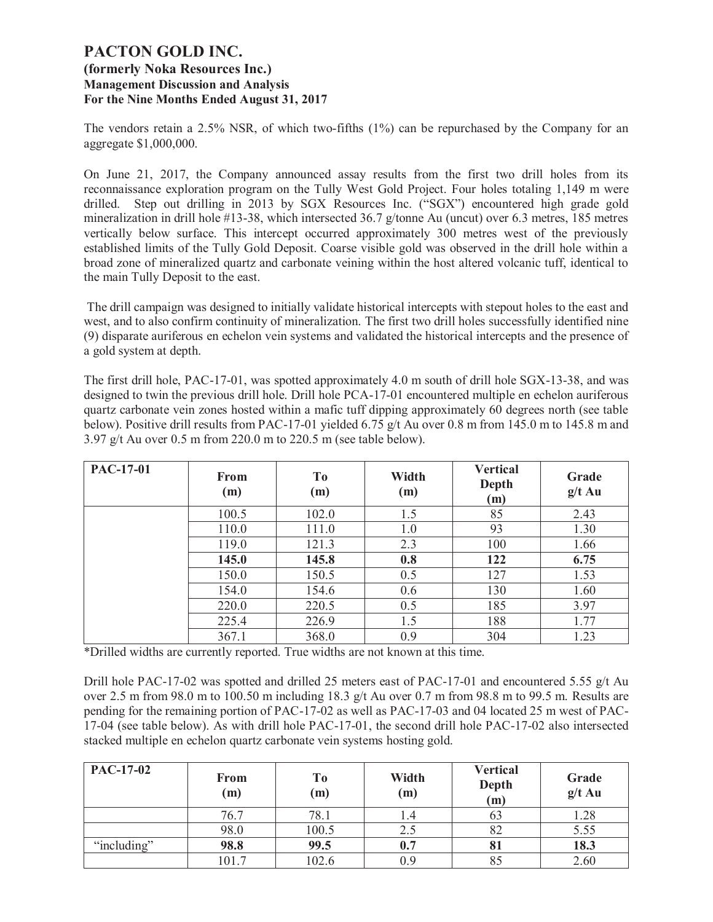The vendors retain a 2.5% NSR, of which two-fifths (1%) can be repurchased by the Company for an aggregate \$1,000,000.

On June 21, 2017, the Company announced assay results from the first two drill holes from its reconnaissance exploration program on the Tully West Gold Project. Four holes totaling 1,149 m were drilled. Step out drilling in 2013 by SGX Resources Inc. ("SGX") encountered high grade gold mineralization in drill hole #13-38, which intersected 36.7 g/tonne Au (uncut) over 6.3 metres, 185 metres vertically below surface. This intercept occurred approximately 300 metres west of the previously established limits of the Tully Gold Deposit. Coarse visible gold was observed in the drill hole within a broad zone of mineralized quartz and carbonate veining within the host altered volcanic tuff, identical to the main Tully Deposit to the east.

 The drill campaign was designed to initially validate historical intercepts with stepout holes to the east and west, and to also confirm continuity of mineralization. The first two drill holes successfully identified nine (9) disparate auriferous en echelon vein systems and validated the historical intercepts and the presence of a gold system at depth.

The first drill hole, PAC-17-01, was spotted approximately 4.0 m south of drill hole SGX-13-38, and was designed to twin the previous drill hole. Drill hole PCA-17-01 encountered multiple en echelon auriferous quartz carbonate vein zones hosted within a mafic tuff dipping approximately 60 degrees north (see table below). Positive drill results from PAC-17-01 yielded 6.75 g/t Au over 0.8 m from 145.0 m to 145.8 m and 3.97 g/t Au over 0.5 m from 220.0 m to 220.5 m (see table below).

| PAC-17-01 | <b>From</b><br>(m) | T <sub>o</sub><br>(m) | Width<br>(m) | <b>Vertical</b><br>Depth<br>(m) | Grade<br>$g/t$ Au |
|-----------|--------------------|-----------------------|--------------|---------------------------------|-------------------|
|           | 100.5              | 102.0                 | 1.5          | 85                              | 2.43              |
|           | 110.0              | 111.0                 | 1.0          | 93                              | 1.30              |
|           | 119.0              | 121.3                 | 2.3          | 100                             | 1.66              |
|           | 145.0              | 145.8                 | 0.8          | 122                             | 6.75              |
|           | 150.0              | 150.5                 | 0.5          | 127                             | 1.53              |
|           | 154.0              | 154.6                 | 0.6          | 130                             | 1.60              |
|           | 220.0              | 220.5                 | 0.5          | 185                             | 3.97              |
|           | 225.4              | 226.9                 | 1.5          | 188                             | 1.77              |
|           | 367.1              | 368.0                 | 0.9          | 304                             | 1.23              |

\*Drilled widths are currently reported. True widths are not known at this time.

Drill hole PAC-17-02 was spotted and drilled 25 meters east of PAC-17-01 and encountered 5.55 g/t Au over 2.5 m from 98.0 m to 100.50 m including 18.3 g/t Au over 0.7 m from 98.8 m to 99.5 m. Results are pending for the remaining portion of PAC-17-02 as well as PAC-17-03 and 04 located 25 m west of PAC-17-04 (see table below). As with drill hole PAC-17-01, the second drill hole PAC-17-02 also intersected stacked multiple en echelon quartz carbonate vein systems hosting gold.

| <b>PAC-17-02</b> | <b>From</b><br>(m) | T <sub>0</sub><br>(m) | Width<br>(m) | <b>Vertical</b><br>Depth<br>(m) | Grade<br>$g/t$ Au |
|------------------|--------------------|-----------------------|--------------|---------------------------------|-------------------|
|                  | 76.7               | 78.1                  | 1.4          | 03                              | 1.28              |
|                  | 98.0               | 100.5                 | 2.5          | 82                              | 5.55              |
| "including"      | 98.8               | 99.5                  | 0.7          | 81                              | 18.3              |
|                  | 101.7              | 102.6                 | 0.9          | 85                              | 2.60              |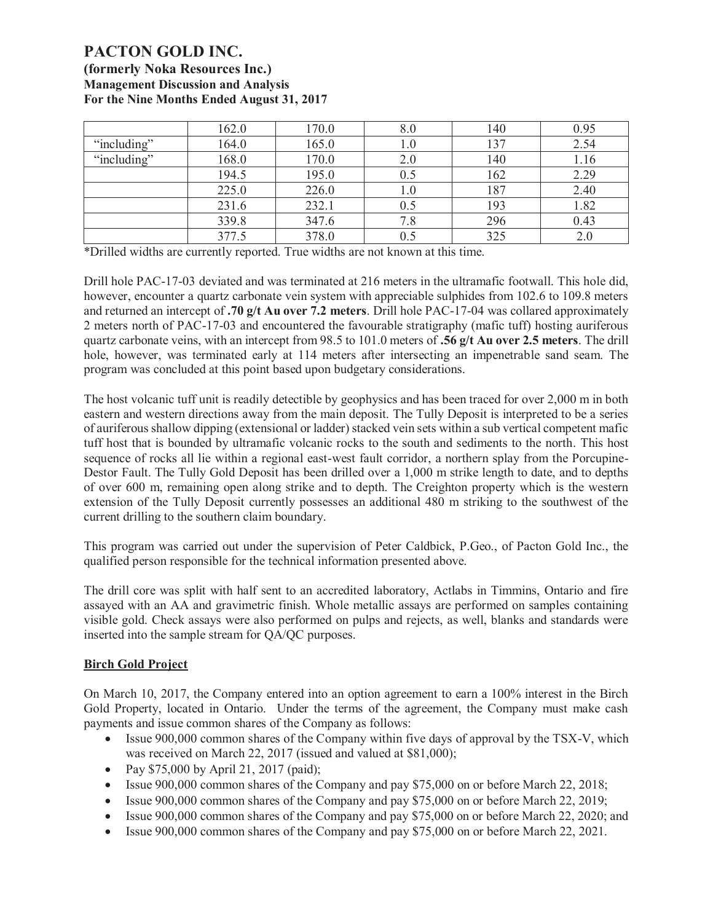|             | 162.0 | 170.0 | 8.0 | 140 | 0.95 |
|-------------|-------|-------|-----|-----|------|
| "including" | 164.0 | 165.0 | 1.0 | 137 | 2.54 |
| "including" | 168.0 | 170.0 | 2.0 | 140 | 1.16 |
|             | 194.5 | 195.0 | 0.5 | 162 | 2.29 |
|             | 225.0 | 226.0 | 1.0 | 187 | 2.40 |
|             | 231.6 | 232.1 | 0.5 | 193 | 1.82 |
|             | 339.8 | 347.6 | 7.8 | 296 | 0.43 |
|             | 377.5 | 378.0 | 0.5 | 325 | 2.0  |

\*Drilled widths are currently reported. True widths are not known at this time.

Drill hole PAC-17-03 deviated and was terminated at 216 meters in the ultramafic footwall. This hole did, however, encounter a quartz carbonate vein system with appreciable sulphides from 102.6 to 109.8 meters and returned an intercept of **.70 g/t Au over 7.2 meters**. Drill hole PAC-17-04 was collared approximately 2 meters north of PAC-17-03 and encountered the favourable stratigraphy (mafic tuff) hosting auriferous quartz carbonate veins, with an intercept from 98.5 to 101.0 meters of **.56 g/t Au over 2.5 meters**. The drill hole, however, was terminated early at 114 meters after intersecting an impenetrable sand seam. The program was concluded at this point based upon budgetary considerations.

The host volcanic tuff unit is readily detectible by geophysics and has been traced for over 2,000 m in both eastern and western directions away from the main deposit. The Tully Deposit is interpreted to be a series of auriferous shallow dipping (extensional or ladder) stacked vein sets within a sub vertical competent mafic tuff host that is bounded by ultramafic volcanic rocks to the south and sediments to the north. This host sequence of rocks all lie within a regional east-west fault corridor, a northern splay from the Porcupine-Destor Fault. The Tully Gold Deposit has been drilled over a 1,000 m strike length to date, and to depths of over 600 m, remaining open along strike and to depth. The Creighton property which is the western extension of the Tully Deposit currently possesses an additional 480 m striking to the southwest of the current drilling to the southern claim boundary.

This program was carried out under the supervision of Peter Caldbick, P.Geo., of Pacton Gold Inc., the qualified person responsible for the technical information presented above.

The drill core was split with half sent to an accredited laboratory, Actlabs in Timmins, Ontario and fire assayed with an AA and gravimetric finish. Whole metallic assays are performed on samples containing visible gold. Check assays were also performed on pulps and rejects, as well, blanks and standards were inserted into the sample stream for QA/QC purposes.

### **Birch Gold Project**

On March 10, 2017, the Company entered into an option agreement to earn a 100% interest in the Birch Gold Property, located in Ontario. Under the terms of the agreement, the Company must make cash payments and issue common shares of the Company as follows:

- Issue 900,000 common shares of the Company within five days of approval by the TSX-V, which was received on March 22, 2017 (issued and valued at \$81,000);
- Pay \$75,000 by April 21, 2017 (paid);
- · Issue 900,000 common shares of the Company and pay \$75,000 on or before March 22, 2018;
- · Issue 900,000 common shares of the Company and pay \$75,000 on or before March 22, 2019;
- Issue 900,000 common shares of the Company and pay \$75,000 on or before March 22, 2020; and
- Issue 900,000 common shares of the Company and pay \$75,000 on or before March 22, 2021.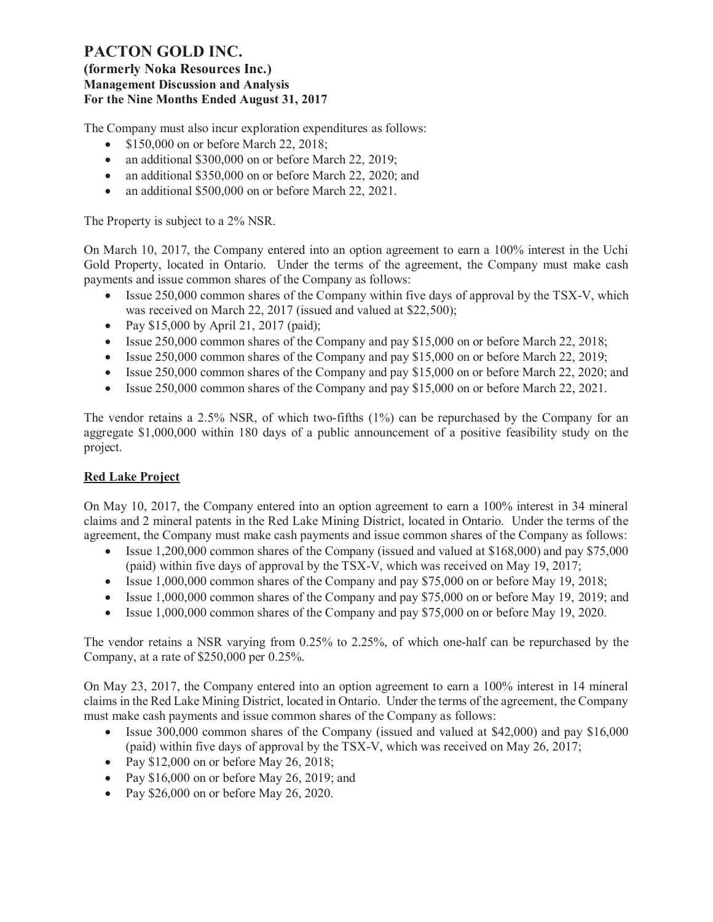The Company must also incur exploration expenditures as follows:

- \$150,000 on or before March 22, 2018;
- an additional \$300,000 on or before March 22, 2019;
- an additional \$350,000 on or before March 22, 2020; and
- an additional \$500,000 on or before March 22, 2021.

The Property is subject to a 2% NSR.

On March 10, 2017, the Company entered into an option agreement to earn a 100% interest in the Uchi Gold Property, located in Ontario. Under the terms of the agreement, the Company must make cash payments and issue common shares of the Company as follows:

- Issue 250,000 common shares of the Company within five days of approval by the TSX-V, which was received on March 22, 2017 (issued and valued at \$22,500);
- Pay \$15,000 by April 21, 2017 (paid);
- Issue 250,000 common shares of the Company and pay \$15,000 on or before March 22, 2018;
- Issue 250,000 common shares of the Company and pay \$15,000 on or before March 22, 2019;
- Issue 250,000 common shares of the Company and pay \$15,000 on or before March 22, 2020; and
- Issue 250,000 common shares of the Company and pay \$15,000 on or before March 22, 2021.

The vendor retains a 2.5% NSR, of which two-fifths (1%) can be repurchased by the Company for an aggregate \$1,000,000 within 180 days of a public announcement of a positive feasibility study on the project.

# **Red Lake Project**

On May 10, 2017, the Company entered into an option agreement to earn a 100% interest in 34 mineral claims and 2 mineral patents in the Red Lake Mining District, located in Ontario. Under the terms of the agreement, the Company must make cash payments and issue common shares of the Company as follows:

- Issue 1,200,000 common shares of the Company (issued and valued at \$168,000) and pay \$75,000 (paid) within five days of approval by the TSX-V, which was received on May 19, 2017;
- Issue 1,000,000 common shares of the Company and pay \$75,000 on or before May 19, 2018;
- Issue 1,000,000 common shares of the Company and pay \$75,000 on or before May 19, 2019; and
- Issue 1,000,000 common shares of the Company and pay \$75,000 on or before May 19, 2020.

The vendor retains a NSR varying from 0.25% to 2.25%, of which one-half can be repurchased by the Company, at a rate of \$250,000 per 0.25%.

On May 23, 2017, the Company entered into an option agreement to earn a 100% interest in 14 mineral claims in the Red Lake Mining District, located in Ontario. Under the terms of the agreement, the Company must make cash payments and issue common shares of the Company as follows:

- Issue 300,000 common shares of the Company (issued and valued at \$42,000) and pay \$16,000 (paid) within five days of approval by the TSX-V, which was received on May 26, 2017;
- Pay  $$12,000$  on or before May 26, 2018;
- Pay \$16,000 on or before May 26, 2019; and
- Pay \$26,000 on or before May 26, 2020.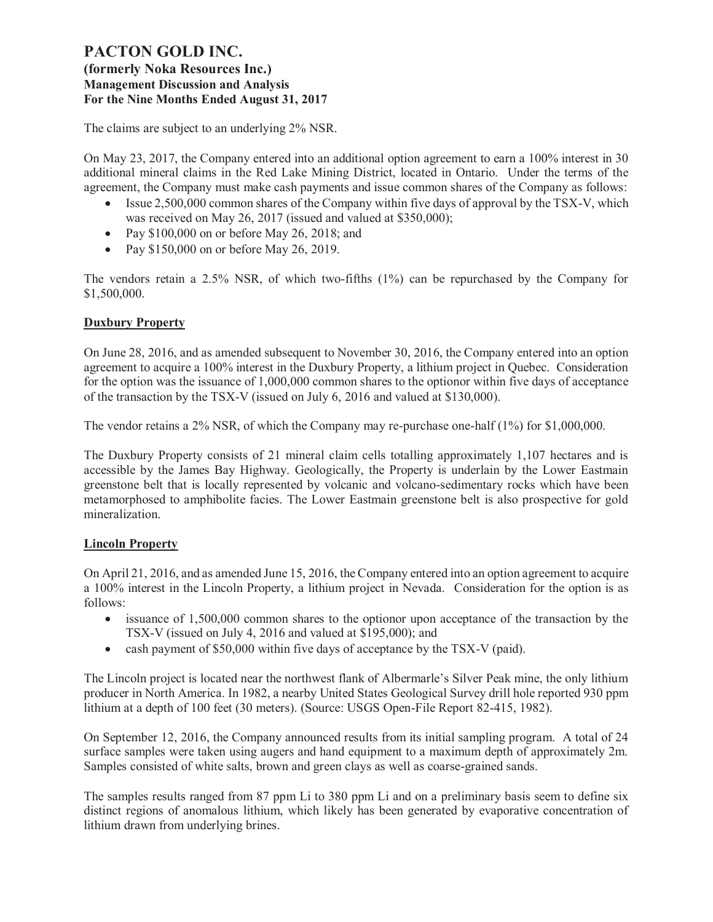### **(formerly Noka Resources Inc.) Management Discussion and Analysis For the Nine Months Ended August 31, 2017**

The claims are subject to an underlying 2% NSR.

On May 23, 2017, the Company entered into an additional option agreement to earn a 100% interest in 30 additional mineral claims in the Red Lake Mining District, located in Ontario. Under the terms of the agreement, the Company must make cash payments and issue common shares of the Company as follows:

- Issue 2,500,000 common shares of the Company within five days of approval by the TSX-V, which was received on May 26, 2017 (issued and valued at \$350,000);
- Pay \$100,000 on or before May 26, 2018; and
- Pay \$150,000 on or before May 26, 2019.

The vendors retain a 2.5% NSR, of which two-fifths (1%) can be repurchased by the Company for \$1,500,000.

# **Duxbury Property**

On June 28, 2016, and as amended subsequent to November 30, 2016, the Company entered into an option agreement to acquire a 100% interest in the Duxbury Property, a lithium project in Quebec. Consideration for the option was the issuance of 1,000,000 common shares to the optionor within five days of acceptance of the transaction by the TSX-V (issued on July 6, 2016 and valued at \$130,000).

The vendor retains a 2% NSR, of which the Company may re-purchase one-half (1%) for \$1,000,000.

The Duxbury Property consists of 21 mineral claim cells totalling approximately 1,107 hectares and is accessible by the James Bay Highway. Geologically, the Property is underlain by the Lower Eastmain greenstone belt that is locally represented by volcanic and volcano-sedimentary rocks which have been metamorphosed to amphibolite facies. The Lower Eastmain greenstone belt is also prospective for gold mineralization.

# **Lincoln Property**

On April 21, 2016, and as amended June 15, 2016, the Company entered into an option agreement to acquire a 100% interest in the Lincoln Property, a lithium project in Nevada. Consideration for the option is as follows:

- issuance of 1,500,000 common shares to the optionor upon acceptance of the transaction by the TSX-V (issued on July 4, 2016 and valued at \$195,000); and
- cash payment of \$50,000 within five days of acceptance by the TSX-V (paid).

The Lincoln project is located near the northwest flank of Albermarle's Silver Peak mine, the only lithium producer in North America. In 1982, a nearby United States Geological Survey drill hole reported 930 ppm lithium at a depth of 100 feet (30 meters). (Source: USGS Open-File Report 82-415, 1982).

On September 12, 2016, the Company announced results from its initial sampling program. A total of 24 surface samples were taken using augers and hand equipment to a maximum depth of approximately 2m. Samples consisted of white salts, brown and green clays as well as coarse-grained sands.

The samples results ranged from 87 ppm Li to 380 ppm Li and on a preliminary basis seem to define six distinct regions of anomalous lithium, which likely has been generated by evaporative concentration of lithium drawn from underlying brines.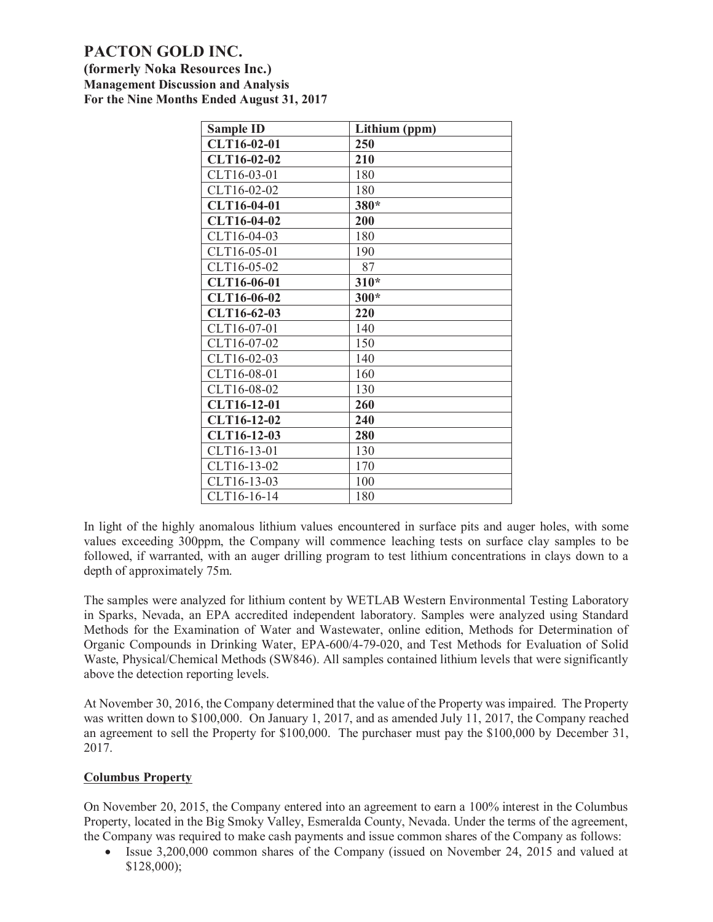**(formerly Noka Resources Inc.) Management Discussion and Analysis For the Nine Months Ended August 31, 2017**

| <b>Sample ID</b> | Lithium (ppm) |
|------------------|---------------|
| CLT16-02-01      | 250           |
| CLT16-02-02      | 210           |
| CLT16-03-01      | 180           |
| CLT16-02-02      | 180           |
| CLT16-04-01      | 380*          |
| CLT16-04-02      | 200           |
| CLT16-04-03      | 180           |
| CLT16-05-01      | 190           |
| CLT16-05-02      | 87            |
| CLT16-06-01      | 310*          |
| CLT16-06-02      | $300*$        |
| CLT16-62-03      | 220           |
| CLT16-07-01      | 140           |
| CLT16-07-02      | 150           |
| CLT16-02-03      | 140           |
| CLT16-08-01      | 160           |
| CLT16-08-02      | 130           |
| CLT16-12-01      | 260           |
| CLT16-12-02      | 240           |
| CLT16-12-03      | <b>280</b>    |
| CLT16-13-01      | 130           |
| CLT16-13-02      | 170           |
| CLT16-13-03      | 100           |
| CLT16-16-14      | 180           |

In light of the highly anomalous lithium values encountered in surface pits and auger holes, with some values exceeding 300ppm, the Company will commence leaching tests on surface clay samples to be followed, if warranted, with an auger drilling program to test lithium concentrations in clays down to a depth of approximately 75m.

The samples were analyzed for lithium content by WETLAB Western Environmental Testing Laboratory in Sparks, Nevada, an EPA accredited independent laboratory. Samples were analyzed using Standard Methods for the Examination of Water and Wastewater, online edition, Methods for Determination of Organic Compounds in Drinking Water, EPA‐600/4‐79‐020, and Test Methods for Evaluation of Solid Waste, Physical/Chemical Methods (SW846). All samples contained lithium levels that were significantly above the detection reporting levels.

At November 30, 2016, the Company determined that the value of the Property was impaired. The Property was written down to \$100,000. On January 1, 2017, and as amended July 11, 2017, the Company reached an agreement to sell the Property for \$100,000. The purchaser must pay the \$100,000 by December 31, 2017.

### **Columbus Property**

On November 20, 2015, the Company entered into an agreement to earn a 100% interest in the Columbus Property, located in the Big Smoky Valley, Esmeralda County, Nevada. Under the terms of the agreement, the Company was required to make cash payments and issue common shares of the Company as follows:

• Issue 3,200,000 common shares of the Company (issued on November 24, 2015 and valued at \$128,000);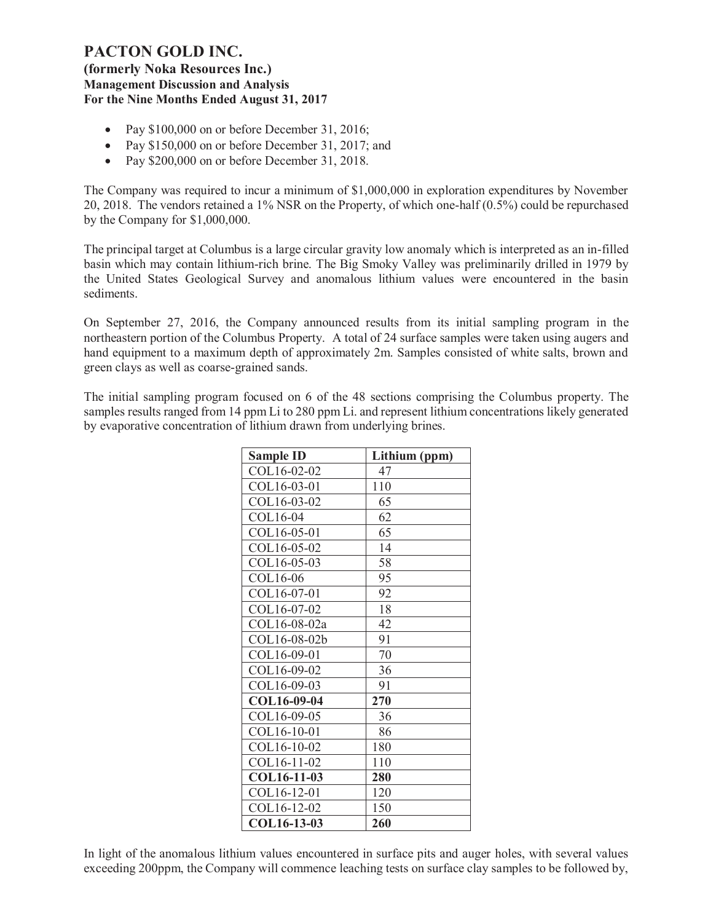### **(formerly Noka Resources Inc.) Management Discussion and Analysis For the Nine Months Ended August 31, 2017**

- Pay \$100,000 on or before December 31, 2016;
- Pay \$150,000 on or before December 31, 2017; and
- Pay \$200,000 on or before December 31, 2018.

The Company was required to incur a minimum of \$1,000,000 in exploration expenditures by November 20, 2018. The vendors retained a 1% NSR on the Property, of which one-half (0.5%) could be repurchased by the Company for \$1,000,000.

The principal target at Columbus is a large circular gravity low anomaly which is interpreted as an in-filled basin which may contain lithium-rich brine. The Big Smoky Valley was preliminarily drilled in 1979 by the United States Geological Survey and anomalous lithium values were encountered in the basin sediments.

On September 27, 2016, the Company announced results from its initial sampling program in the northeastern portion of the Columbus Property. A total of 24 surface samples were taken using augers and hand equipment to a maximum depth of approximately 2m. Samples consisted of white salts, brown and green clays as well as coarse-grained sands.

The initial sampling program focused on 6 of the 48 sections comprising the Columbus property. The samples results ranged from 14 ppm Li to 280 ppm Li. and represent lithium concentrations likely generated by evaporative concentration of lithium drawn from underlying brines.

| <b>Sample ID</b> | Lithium (ppm) |
|------------------|---------------|
| COL16-02-02      | 47            |
| COL16-03-01      | 110           |
| COL16-03-02      | 65            |
| COL16-04         | 62            |
| COL16-05-01      | 65            |
| COL16-05-02      | 14            |
| COL16-05-03      | 58            |
| COL16-06         | 95            |
| COL16-07-01      | 92            |
| COL16-07-02      | 18            |
| COL16-08-02a     | 42            |
| COL16-08-02b     | 91            |
| COL16-09-01      | 70            |
| COL16-09-02      | 36            |
| COL16-09-03      | 91            |
| COL16-09-04      | 270           |
| COL16-09-05      | 36            |
| COL16-10-01      | 86            |
| COL16-10-02      | 180           |
| COL16-11-02      | 110           |
| COL16-11-03      | 280           |
| COL16-12-01      | 120           |
| COL16-12-02      | 150           |
| COL16-13-03      | 260           |

In light of the anomalous lithium values encountered in surface pits and auger holes, with several values exceeding 200ppm, the Company will commence leaching tests on surface clay samples to be followed by,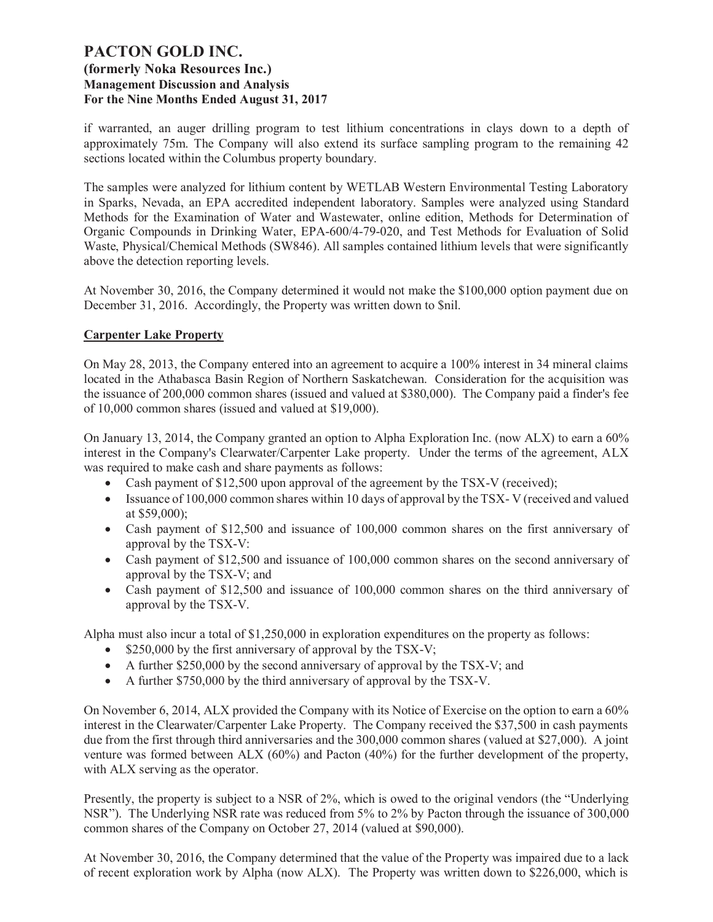if warranted, an auger drilling program to test lithium concentrations in clays down to a depth of approximately 75m. The Company will also extend its surface sampling program to the remaining 42 sections located within the Columbus property boundary.

The samples were analyzed for lithium content by WETLAB Western Environmental Testing Laboratory in Sparks, Nevada, an EPA accredited independent laboratory. Samples were analyzed using Standard Methods for the Examination of Water and Wastewater, online edition, Methods for Determination of Organic Compounds in Drinking Water, EPA-600/4-79-020, and Test Methods for Evaluation of Solid Waste, Physical/Chemical Methods (SW846). All samples contained lithium levels that were significantly above the detection reporting levels.

At November 30, 2016, the Company determined it would not make the \$100,000 option payment due on December 31, 2016. Accordingly, the Property was written down to \$nil.

### **Carpenter Lake Property**

On May 28, 2013, the Company entered into an agreement to acquire a 100% interest in 34 mineral claims located in the Athabasca Basin Region of Northern Saskatchewan. Consideration for the acquisition was the issuance of 200,000 common shares (issued and valued at \$380,000). The Company paid a finder's fee of 10,000 common shares (issued and valued at \$19,000).

On January 13, 2014, the Company granted an option to Alpha Exploration Inc. (now ALX) to earn a 60% interest in the Company's Clearwater/Carpenter Lake property. Under the terms of the agreement, ALX was required to make cash and share payments as follows:

- Cash payment of \$12,500 upon approval of the agreement by the TSX-V (received);
- Issuance of 100,000 common shares within 10 days of approval by the TSX-V (received and valued at \$59,000);
- Cash payment of \$12,500 and issuance of 100,000 common shares on the first anniversary of approval by the TSX-V:
- Cash payment of \$12,500 and issuance of 100,000 common shares on the second anniversary of approval by the TSX-V; and
- Cash payment of \$12,500 and issuance of 100,000 common shares on the third anniversary of approval by the TSX-V.

Alpha must also incur a total of \$1,250,000 in exploration expenditures on the property as follows:

- \$250,000 by the first anniversary of approval by the TSX-V;
- A further \$250,000 by the second anniversary of approval by the TSX-V; and
- A further \$750,000 by the third anniversary of approval by the TSX-V.

On November 6, 2014, ALX provided the Company with its Notice of Exercise on the option to earn a 60% interest in the Clearwater/Carpenter Lake Property. The Company received the \$37,500 in cash payments due from the first through third anniversaries and the 300,000 common shares (valued at \$27,000). A joint venture was formed between ALX (60%) and Pacton (40%) for the further development of the property, with ALX serving as the operator.

Presently, the property is subject to a NSR of 2%, which is owed to the original vendors (the "Underlying NSR"). The Underlying NSR rate was reduced from 5% to 2% by Pacton through the issuance of 300,000 common shares of the Company on October 27, 2014 (valued at \$90,000).

At November 30, 2016, the Company determined that the value of the Property was impaired due to a lack of recent exploration work by Alpha (now ALX). The Property was written down to \$226,000, which is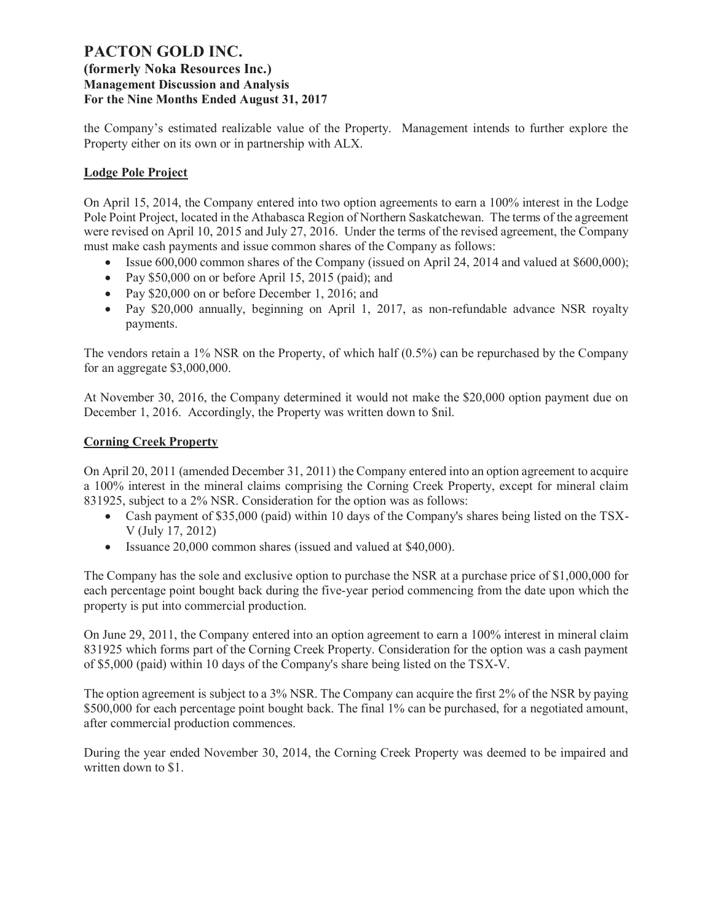# **(formerly Noka Resources Inc.) Management Discussion and Analysis For the Nine Months Ended August 31, 2017**

the Company's estimated realizable value of the Property. Management intends to further explore the Property either on its own or in partnership with ALX.

# **Lodge Pole Project**

On April 15, 2014, the Company entered into two option agreements to earn a 100% interest in the Lodge Pole Point Project, located in the Athabasca Region of Northern Saskatchewan. The terms of the agreement were revised on April 10, 2015 and July 27, 2016. Under the terms of the revised agreement, the Company must make cash payments and issue common shares of the Company as follows:

- Issue 600,000 common shares of the Company (issued on April 24, 2014 and valued at \$600,000);
- Pay \$50,000 on or before April 15, 2015 (paid); and
- Pay \$20,000 on or before December 1, 2016; and
- Pay \$20,000 annually, beginning on April 1, 2017, as non-refundable advance NSR royalty payments.

The vendors retain a 1% NSR on the Property, of which half (0.5%) can be repurchased by the Company for an aggregate \$3,000,000.

At November 30, 2016, the Company determined it would not make the \$20,000 option payment due on December 1, 2016. Accordingly, the Property was written down to Snil.

# **Corning Creek Property**

On April 20, 2011 (amended December 31, 2011) the Company entered into an option agreement to acquire a 100% interest in the mineral claims comprising the Corning Creek Property, except for mineral claim 831925, subject to a 2% NSR. Consideration for the option was as follows:

- Cash payment of \$35,000 (paid) within 10 days of the Company's shares being listed on the TSX-V (July 17, 2012)
- · Issuance 20,000 common shares (issued and valued at \$40,000).

The Company has the sole and exclusive option to purchase the NSR at a purchase price of \$1,000,000 for each percentage point bought back during the five-year period commencing from the date upon which the property is put into commercial production.

On June 29, 2011, the Company entered into an option agreement to earn a 100% interest in mineral claim 831925 which forms part of the Corning Creek Property. Consideration for the option was a cash payment of \$5,000 (paid) within 10 days of the Company's share being listed on the TSX-V.

The option agreement is subject to a 3% NSR. The Company can acquire the first 2% of the NSR by paying \$500,000 for each percentage point bought back. The final 1% can be purchased, for a negotiated amount, after commercial production commences.

During the year ended November 30, 2014, the Corning Creek Property was deemed to be impaired and written down to \$1.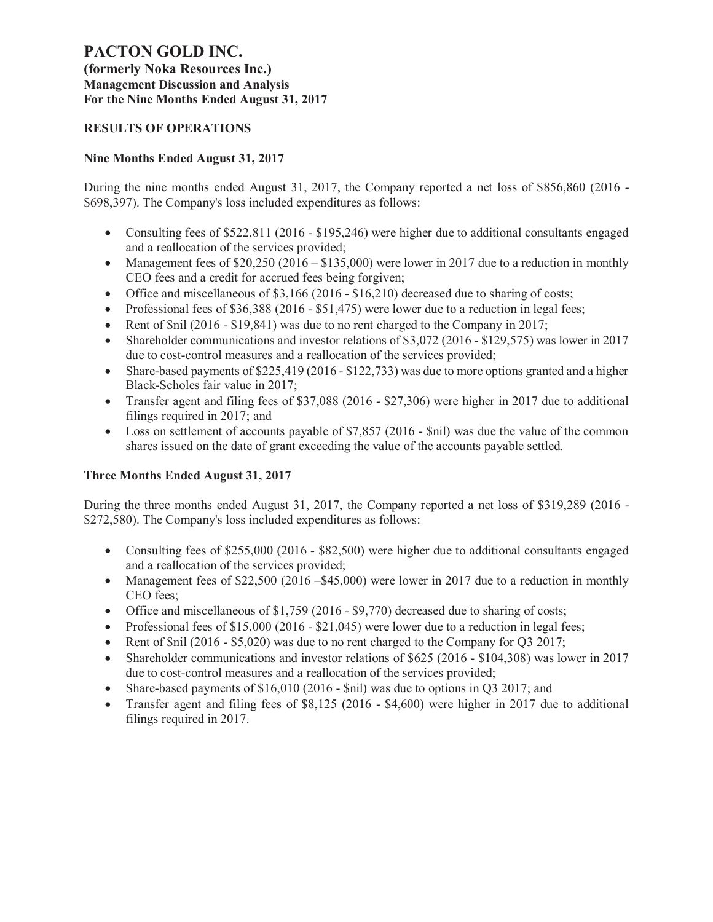**(formerly Noka Resources Inc.) Management Discussion and Analysis For the Nine Months Ended August 31, 2017**

# **RESULTS OF OPERATIONS**

# **Nine Months Ended August 31, 2017**

During the nine months ended August 31, 2017, the Company reported a net loss of \$856,860 (2016 - \$698,397). The Company's loss included expenditures as follows:

- Consulting fees of \$522,811 (2016 \$195,246) were higher due to additional consultants engaged and a reallocation of the services provided;
- Management fees of  $$20,250 (2016 $135,000)$  were lower in 2017 due to a reduction in monthly CEO fees and a credit for accrued fees being forgiven;
- Office and miscellaneous of \$3,166 (2016 \$16,210) decreased due to sharing of costs;
- Professional fees of \$36,388 (2016 \$51,475) were lower due to a reduction in legal fees;
- Rent of  $\sinh(2016 \frac{1}{2}19,841)$  was due to no rent charged to the Company in 2017;
- Shareholder communications and investor relations of \$3,072 (2016 \$129,575) was lower in 2017 due to cost-control measures and a reallocation of the services provided;
- Share-based payments of  $$225,419$  (2016  $$122,733$ ) was due to more options granted and a higher Black-Scholes fair value in 2017;
- · Transfer agent and filing fees of \$37,088 (2016 \$27,306) were higher in 2017 due to additional filings required in 2017; and
- Loss on settlement of accounts payable of \$7,857 (2016 \$nil) was due the value of the common shares issued on the date of grant exceeding the value of the accounts payable settled.

# **Three Months Ended August 31, 2017**

During the three months ended August 31, 2017, the Company reported a net loss of \$319,289 (2016 - \$272,580). The Company's loss included expenditures as follows:

- Consulting fees of \$255,000 (2016 \$82,500) were higher due to additional consultants engaged and a reallocation of the services provided;
- Management fees of \$22,500 (2016 \$45,000) were lower in 2017 due to a reduction in monthly CEO fees;
- Office and miscellaneous of  $$1,759$  (2016  $$9,770$ ) decreased due to sharing of costs;
- Professional fees of  $$15,000$  (2016  $$21,045$ ) were lower due to a reduction in legal fees;
- Rent of  $\sinh(2016 \frac{1}{50020})$  was due to no rent charged to the Company for O3 2017;
- Shareholder communications and investor relations of \$625 (2016 \$104,308) was lower in 2017 due to cost-control measures and a reallocation of the services provided;
- Share-based payments of  $$16,010$  (2016  $$nil)$  was due to options in Q3 2017; and
- · Transfer agent and filing fees of \$8,125 (2016 \$4,600) were higher in 2017 due to additional filings required in 2017.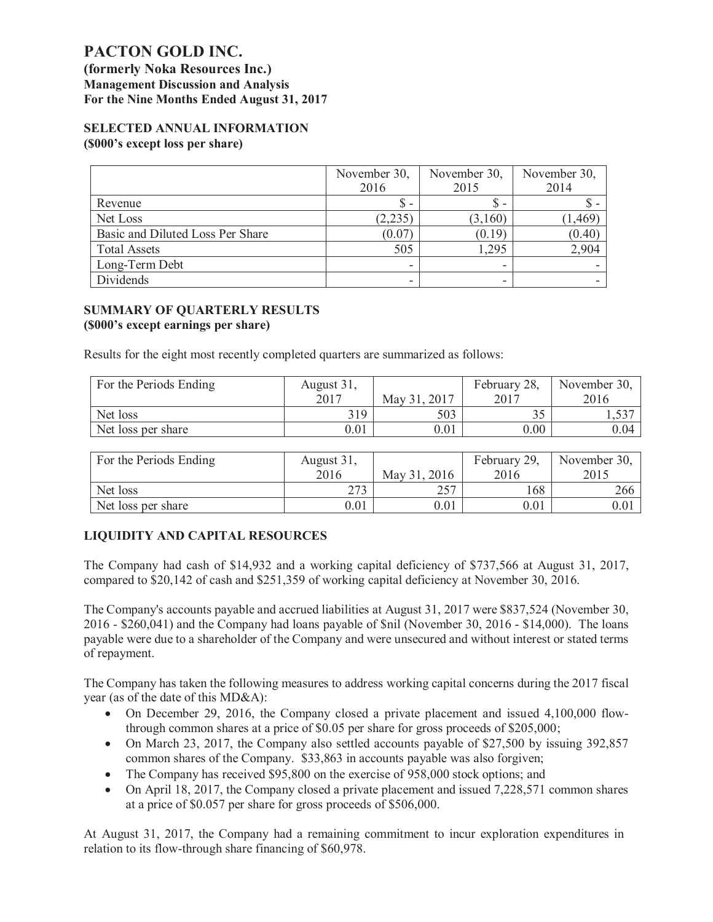**(formerly Noka Resources Inc.) Management Discussion and Analysis For the Nine Months Ended August 31, 2017**

### **SELECTED ANNUAL INFORMATION (\$000's except loss per share)**

|                                  | November 30,<br>2016 | November 30,<br>2015     | November 30,<br>2014 |
|----------------------------------|----------------------|--------------------------|----------------------|
| Revenue                          | \$ -                 | $\overline{\phantom{a}}$ |                      |
| Net Loss                         | (2,235)              | (3,160)                  | 1,469                |
| Basic and Diluted Loss Per Share | (0.07                | (0.19)                   | (0.40)               |
| <b>Total Assets</b>              | 505                  | 1,295                    | 2.904                |
| Long-Term Debt                   | -                    | -                        |                      |
| Dividends                        | -                    | -                        |                      |

### **SUMMARY OF QUARTERLY RESULTS (\$000's except earnings per share)**

Results for the eight most recently completed quarters are summarized as follows:

| For the Periods Ending | August 31, |              | February 28, | November 30, |
|------------------------|------------|--------------|--------------|--------------|
|                        | 2017       | May 31, 2017 | 2017         | 2016         |
| Net loss               | 319        | 503          | ب ب          | 1.331        |
| Net loss per share     | 0.01       | $0.01\,$     | 0.00         | $0.04\,$     |

| For the Periods Ending | August 31, |              | February 29, | November 30, |
|------------------------|------------|--------------|--------------|--------------|
|                        | 2016       | May 31, 2016 | 2016         | 2015         |
| Net loss               | つつつ        | 757          | 168          | 266          |
| Net loss per share     | 0.01       | 0.01         | 0.01         | 0.01         |

# **LIQUIDITY AND CAPITAL RESOURCES**

The Company had cash of \$14,932 and a working capital deficiency of \$737,566 at August 31, 2017, compared to \$20,142 of cash and \$251,359 of working capital deficiency at November 30, 2016.

The Company's accounts payable and accrued liabilities at August 31, 2017 were \$837,524 (November 30, 2016 - \$260,041) and the Company had loans payable of \$nil (November 30, 2016 - \$14,000). The loans payable were due to a shareholder of the Company and were unsecured and without interest or stated terms of repayment.

The Company has taken the following measures to address working capital concerns during the 2017 fiscal year (as of the date of this MD&A):

- On December 29, 2016, the Company closed a private placement and issued 4,100,000 flowthrough common shares at a price of \$0.05 per share for gross proceeds of \$205,000;
- On March 23, 2017, the Company also settled accounts payable of \$27,500 by issuing 392,857 common shares of the Company. \$33,863 in accounts payable was also forgiven;
- The Company has received \$95,800 on the exercise of 958,000 stock options; and
- On April 18, 2017, the Company closed a private placement and issued 7,228,571 common shares at a price of \$0.057 per share for gross proceeds of \$506,000.

At August 31, 2017, the Company had a remaining commitment to incur exploration expenditures in relation to its flow-through share financing of \$60,978.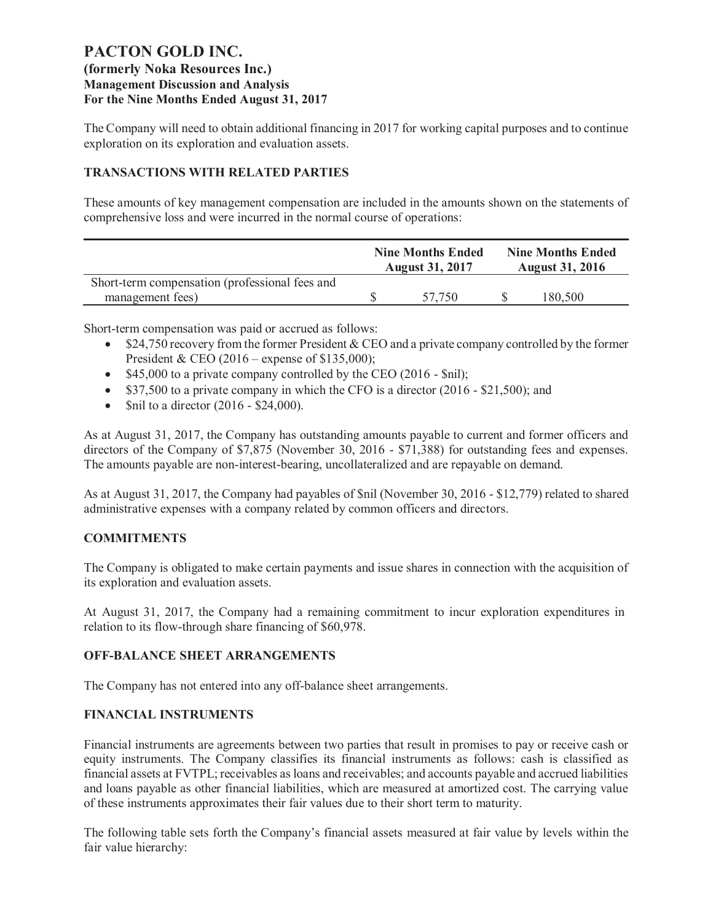The Company will need to obtain additional financing in 2017 for working capital purposes and to continue exploration on its exploration and evaluation assets.

# **TRANSACTIONS WITH RELATED PARTIES**

These amounts of key management compensation are included in the amounts shown on the statements of comprehensive loss and were incurred in the normal course of operations:

|                                                | <b>Nine Months Ended</b><br><b>August 31, 2017</b> |  | <b>Nine Months Ended</b><br><b>August 31, 2016</b> |
|------------------------------------------------|----------------------------------------------------|--|----------------------------------------------------|
| Short-term compensation (professional fees and |                                                    |  |                                                    |
| management fees)                               | 57.750                                             |  | 180,500                                            |

Short-term compensation was paid or accrued as follows:

- \$24,750 recovery from the former President & CEO and a private company controlled by the former President & CEO (2016 – expense of \$135,000);
- \$45,000 to a private company controlled by the CEO (2016 \$nil);
- $$37,500$  to a private company in which the CFO is a director (2016 \$21,500); and
- Snil to a director  $(2016 $24,000)$ .

As at August 31, 2017, the Company has outstanding amounts payable to current and former officers and directors of the Company of \$7,875 (November 30, 2016 - \$71,388) for outstanding fees and expenses. The amounts payable are non-interest-bearing, uncollateralized and are repayable on demand.

As at August 31, 2017, the Company had payables of \$nil (November 30, 2016 - \$12,779) related to shared administrative expenses with a company related by common officers and directors.

# **COMMITMENTS**

The Company is obligated to make certain payments and issue shares in connection with the acquisition of its exploration and evaluation assets.

At August 31, 2017, the Company had a remaining commitment to incur exploration expenditures in relation to its flow-through share financing of \$60,978.

### **OFF-BALANCE SHEET ARRANGEMENTS**

The Company has not entered into any off-balance sheet arrangements.

### **FINANCIAL INSTRUMENTS**

Financial instruments are agreements between two parties that result in promises to pay or receive cash or equity instruments. The Company classifies its financial instruments as follows: cash is classified as financial assets at FVTPL; receivables as loans and receivables; and accounts payable and accrued liabilities and loans payable as other financial liabilities, which are measured at amortized cost. The carrying value of these instruments approximates their fair values due to their short term to maturity.

The following table sets forth the Company's financial assets measured at fair value by levels within the fair value hierarchy: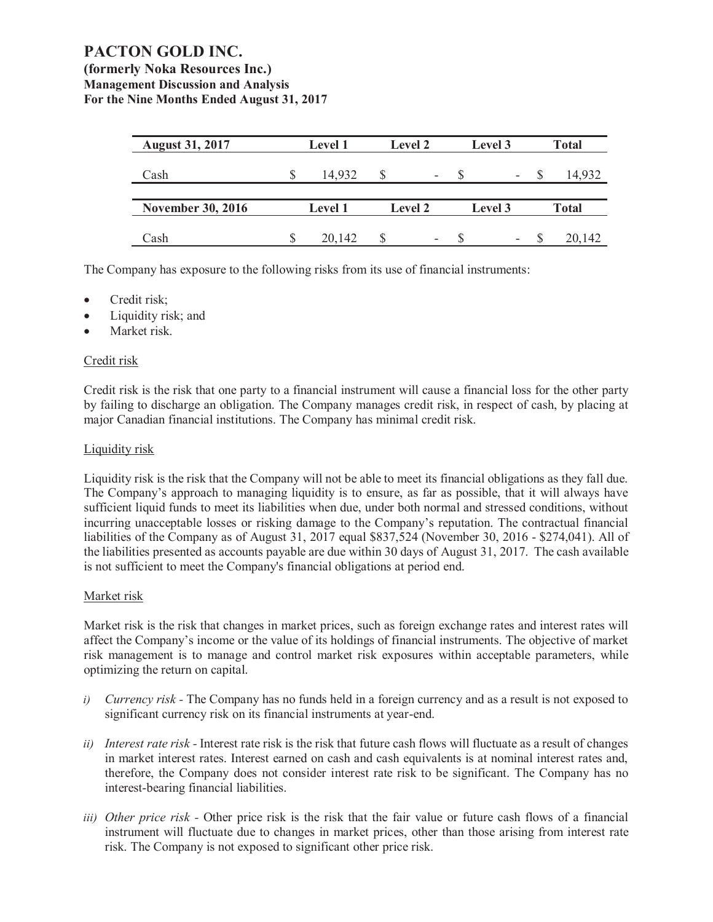**(formerly Noka Resources Inc.) Management Discussion and Analysis For the Nine Months Ended August 31, 2017**

| <b>August 31, 2017</b>   | <b>Level 1</b> | <b>Level 2</b> | Level 3                  | <b>Total</b> |
|--------------------------|----------------|----------------|--------------------------|--------------|
| Cash                     | 14,932         | -              | $\overline{\phantom{a}}$ | 14,932       |
|                          |                |                |                          |              |
| <b>November 30, 2016</b> | <b>Level 1</b> | <b>Level 2</b> | Level 3                  | <b>Total</b> |
|                          |                |                |                          |              |
| Cash                     | 20,142         | -              | $\overline{\phantom{a}}$ | 20,142       |

The Company has exposure to the following risks from its use of financial instruments:

- Credit risk;
- Liquidity risk; and
- Market risk.

### Credit risk

Credit risk is the risk that one party to a financial instrument will cause a financial loss for the other party by failing to discharge an obligation. The Company manages credit risk, in respect of cash, by placing at major Canadian financial institutions. The Company has minimal credit risk.

### Liquidity risk

Liquidity risk is the risk that the Company will not be able to meet its financial obligations as they fall due. The Company's approach to managing liquidity is to ensure, as far as possible, that it will always have sufficient liquid funds to meet its liabilities when due, under both normal and stressed conditions, without incurring unacceptable losses or risking damage to the Company's reputation. The contractual financial liabilities of the Company as of August 31, 2017 equal \$837,524 (November 30, 2016 - \$274,041). All of the liabilities presented as accounts payable are due within 30 days of August 31, 2017. The cash available is not sufficient to meet the Company's financial obligations at period end.

### Market risk

Market risk is the risk that changes in market prices, such as foreign exchange rates and interest rates will affect the Company's income or the value of its holdings of financial instruments. The objective of market risk management is to manage and control market risk exposures within acceptable parameters, while optimizing the return on capital.

- *i) Currency risk* The Company has no funds held in a foreign currency and as a result is not exposed to significant currency risk on its financial instruments at year-end.
- *ii) Interest rate risk* Interest rate risk is the risk that future cash flows will fluctuate as a result of changes in market interest rates. Interest earned on cash and cash equivalents is at nominal interest rates and, therefore, the Company does not consider interest rate risk to be significant. The Company has no interest-bearing financial liabilities.
- *iii) Other price risk* Other price risk is the risk that the fair value or future cash flows of a financial instrument will fluctuate due to changes in market prices, other than those arising from interest rate risk. The Company is not exposed to significant other price risk.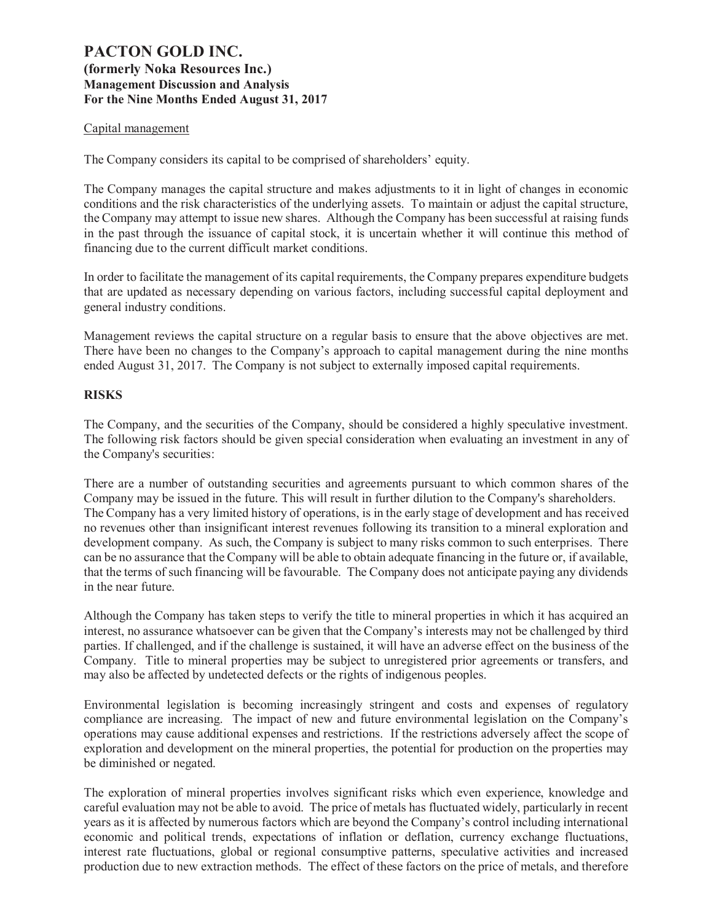### Capital management

The Company considers its capital to be comprised of shareholders' equity.

The Company manages the capital structure and makes adjustments to it in light of changes in economic conditions and the risk characteristics of the underlying assets. To maintain or adjust the capital structure, the Company may attempt to issue new shares. Although the Company has been successful at raising funds in the past through the issuance of capital stock, it is uncertain whether it will continue this method of financing due to the current difficult market conditions.

In order to facilitate the management of its capital requirements, the Company prepares expenditure budgets that are updated as necessary depending on various factors, including successful capital deployment and general industry conditions.

Management reviews the capital structure on a regular basis to ensure that the above objectives are met. There have been no changes to the Company's approach to capital management during the nine months ended August 31, 2017. The Company is not subject to externally imposed capital requirements.

### **RISKS**

The Company, and the securities of the Company, should be considered a highly speculative investment. The following risk factors should be given special consideration when evaluating an investment in any of the Company's securities:

There are a number of outstanding securities and agreements pursuant to which common shares of the Company may be issued in the future. This will result in further dilution to the Company's shareholders. The Company has a very limited history of operations, is in the early stage of development and has received no revenues other than insignificant interest revenues following its transition to a mineral exploration and development company. As such, the Company is subject to many risks common to such enterprises. There can be no assurance that the Company will be able to obtain adequate financing in the future or, if available, that the terms of such financing will be favourable. The Company does not anticipate paying any dividends in the near future.

Although the Company has taken steps to verify the title to mineral properties in which it has acquired an interest, no assurance whatsoever can be given that the Company's interests may not be challenged by third parties. If challenged, and if the challenge is sustained, it will have an adverse effect on the business of the Company. Title to mineral properties may be subject to unregistered prior agreements or transfers, and may also be affected by undetected defects or the rights of indigenous peoples.

Environmental legislation is becoming increasingly stringent and costs and expenses of regulatory compliance are increasing. The impact of new and future environmental legislation on the Company's operations may cause additional expenses and restrictions. If the restrictions adversely affect the scope of exploration and development on the mineral properties, the potential for production on the properties may be diminished or negated.

The exploration of mineral properties involves significant risks which even experience, knowledge and careful evaluation may not be able to avoid. The price of metals has fluctuated widely, particularly in recent years as it is affected by numerous factors which are beyond the Company's control including international economic and political trends, expectations of inflation or deflation, currency exchange fluctuations, interest rate fluctuations, global or regional consumptive patterns, speculative activities and increased production due to new extraction methods. The effect of these factors on the price of metals, and therefore